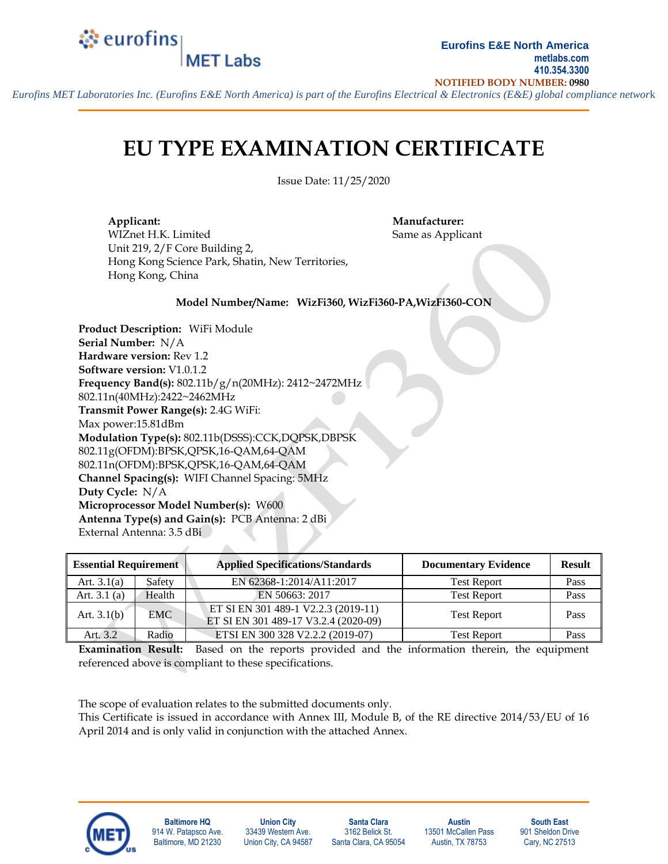### े eurofins **MET Labs**

*Eurofins MET Laboratories Inc. (Eurofins E&E North America) is part of the Eurofins Electrical & Electronics (E&E) global compliance networ*k

# **EU TYPE EXAMINATION CERTIFICATE**

Issue Date: 11/25/2020

**Applicant: Manufacturer:** WIZnet H.K. Limited Same as Applicant Unit 219, 2/F Core Building 2, Hong Kong Science Park, Shatin, New Territories, Hong Kong, China

#### **Model Number/Name: WizFi360, WizFi360-PA,WizFi360-CON**

**Product Description:** WiFi Module **Serial Number:** N/A **Hardware version:** Rev 1.2 **Software version:** V1.0.1.2 **Frequency Band(s):** 802.11b/g/n(20MHz): 2412~2472MHz 802.11n(40MHz):2422~2462MHz **Transmit Power Range(s):** 2.4G WiFi: Max power:15.81dBm **Modulation Type(s):** 802.11b(DSSS):CCK,DQPSK,DBPSK 802.11g(OFDM):BPSK,QPSK,16-QAM,64-QAM 802.11n(OFDM):BPSK,QPSK,16-QAM,64-QAM **Channel Spacing(s):** WIFI Channel Spacing: 5MHz **Duty Cycle:** N/A **Microprocessor Model Number(s):** W600 **Antenna Type(s) and Gain(s):** PCB Antenna: 2 dBi External Antenna: 3.5 dBi

A.

| <b>Essential Requirement</b> |            | <b>Applied Specifications/Standards</b>                                     | <b>Documentary Evidence</b> | <b>Result</b> |
|------------------------------|------------|-----------------------------------------------------------------------------|-----------------------------|---------------|
| Art. $3.1(a)$                | Safety     | EN 62368-1:2014/A11:2017                                                    | <b>Test Report</b>          | Pass          |
| Art. $3.1$ (a)               | Health     | EN 50663: 2017                                                              | <b>Test Report</b>          | Pass          |
| Art. $3.1(b)$                | <b>EMC</b> | ET SI EN 301 489-1 V2.2.3 (2019-11)<br>ET SI EN 301 489-17 V3.2.4 (2020-09) | <b>Test Report</b>          | Pass          |
| Art. 3.2                     | Radio      | ETSI EN 300 328 V2.2.2 (2019-07)                                            | <b>Test Report</b>          | Pass          |

**Examination Result:** Based on the reports provided and the information therein, the equipment referenced above is compliant to these specifications.

The scope of evaluation relates to the submitted documents only.

This Certificate is issued in accordance with Annex III, Module B, of the RE directive 2014/53/EU of 16 April 2014 and is only valid in conjunction with the attached Annex.



**Baltimore HQ** 914 W. Patapsco Ave. Baltimore, MD 21230

**Union City** 33439 Western Ave. Union City, CA 94587

**Santa Clara** 3162 Belick St. Santa Clara, CA 95054

**Austin** 13501 McCallen Pass Austin, TX 78753

**South East** 901 Sheldon Drive Cary, NC 27513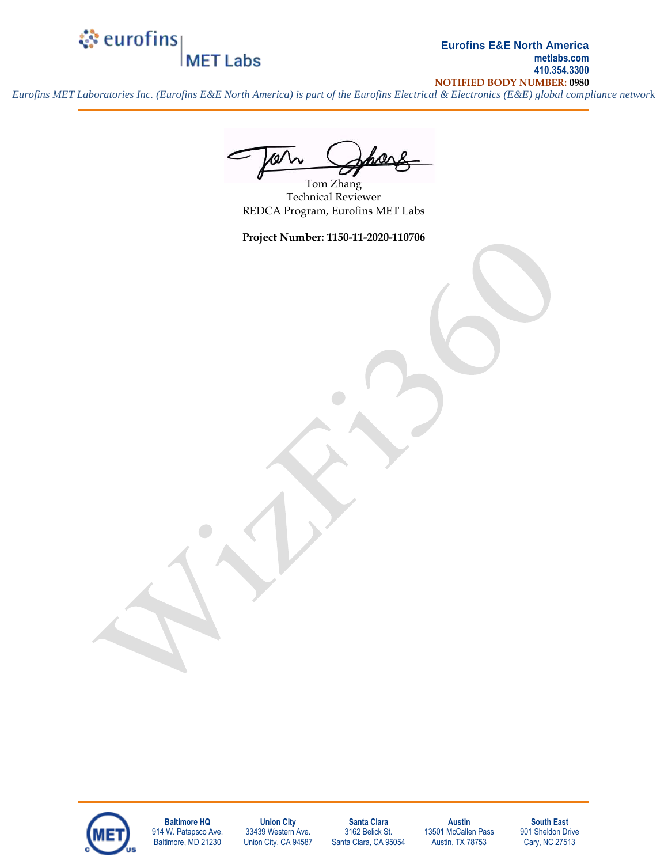### े eurofins **MET Labs**

**Eurofins E&E North America metlabs.com 410.354.3300 NOTIFIED BODY NUMBER: 0980**

*Eurofins MET Laboratories Inc. (Eurofins E&E North America) is part of the Eurofins Electrical & Electronics (E&E) global compliance networ*k

Tom Zhang Technical Reviewer REDCA Program, Eurofins MET Labs

**Project Number: 1150-11-2020-110706**



**Baltimore HQ** 914 W. Patapsco Ave. Baltimore, MD 21230

**Union City** 33439 Western Ave. Union City, CA 94587

**Santa Clara** 3162 Belick St. Santa Clara, CA 95054

**Austin** 13501 McCallen Pass Austin, TX 78753

**South East** 901 Sheldon Drive Cary, NC 27513